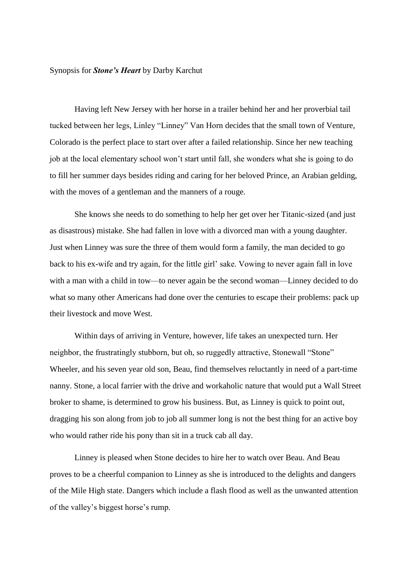## Synopsis for *Stone's Heart* by Darby Karchut

Having left New Jersey with her horse in a trailer behind her and her proverbial tail tucked between her legs, Linley "Linney" Van Horn decides that the small town of Venture, Colorado is the perfect place to start over after a failed relationship. Since her new teaching job at the local elementary school won't start until fall, she wonders what she is going to do to fill her summer days besides riding and caring for her beloved Prince, an Arabian gelding, with the moves of a gentleman and the manners of a rouge.

She knows she needs to do something to help her get over her Titanic-sized (and just as disastrous) mistake. She had fallen in love with a divorced man with a young daughter. Just when Linney was sure the three of them would form a family, the man decided to go back to his ex-wife and try again, for the little girl' sake. Vowing to never again fall in love with a man with a child in tow—to never again be the second woman—Linney decided to do what so many other Americans had done over the centuries to escape their problems: pack up their livestock and move West.

Within days of arriving in Venture, however, life takes an unexpected turn. Her neighbor, the frustratingly stubborn, but oh, so ruggedly attractive, Stonewall "Stone" Wheeler, and his seven year old son, Beau, find themselves reluctantly in need of a part-time nanny. Stone, a local farrier with the drive and workaholic nature that would put a Wall Street broker to shame, is determined to grow his business. But, as Linney is quick to point out, dragging his son along from job to job all summer long is not the best thing for an active boy who would rather ride his pony than sit in a truck cab all day.

Linney is pleased when Stone decides to hire her to watch over Beau. And Beau proves to be a cheerful companion to Linney as she is introduced to the delights and dangers of the Mile High state. Dangers which include a flash flood as well as the unwanted attention of the valley's biggest horse's rump.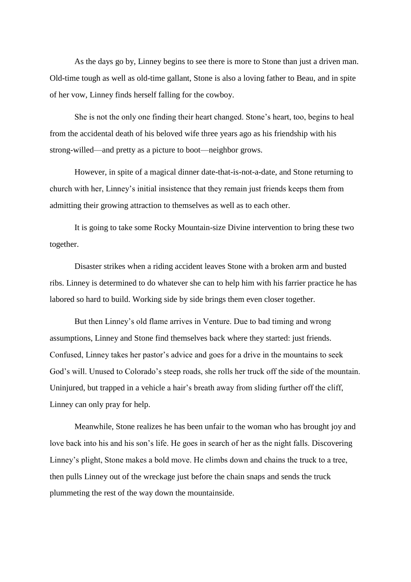As the days go by, Linney begins to see there is more to Stone than just a driven man. Old-time tough as well as old-time gallant, Stone is also a loving father to Beau, and in spite of her vow, Linney finds herself falling for the cowboy.

She is not the only one finding their heart changed. Stone's heart, too, begins to heal from the accidental death of his beloved wife three years ago as his friendship with his strong-willed—and pretty as a picture to boot—neighbor grows.

However, in spite of a magical dinner date-that-is-not-a-date, and Stone returning to church with her, Linney's initial insistence that they remain just friends keeps them from admitting their growing attraction to themselves as well as to each other.

It is going to take some Rocky Mountain-size Divine intervention to bring these two together.

Disaster strikes when a riding accident leaves Stone with a broken arm and busted ribs. Linney is determined to do whatever she can to help him with his farrier practice he has labored so hard to build. Working side by side brings them even closer together.

But then Linney's old flame arrives in Venture. Due to bad timing and wrong assumptions, Linney and Stone find themselves back where they started: just friends. Confused, Linney takes her pastor's advice and goes for a drive in the mountains to seek God's will. Unused to Colorado's steep roads, she rolls her truck off the side of the mountain. Uninjured, but trapped in a vehicle a hair's breath away from sliding further off the cliff, Linney can only pray for help.

Meanwhile, Stone realizes he has been unfair to the woman who has brought joy and love back into his and his son's life. He goes in search of her as the night falls. Discovering Linney's plight, Stone makes a bold move. He climbs down and chains the truck to a tree, then pulls Linney out of the wreckage just before the chain snaps and sends the truck plummeting the rest of the way down the mountainside.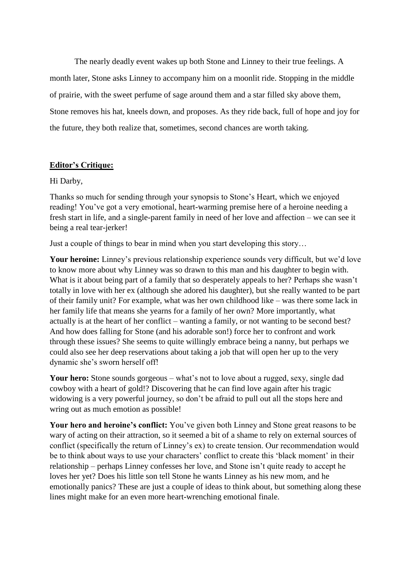The nearly deadly event wakes up both Stone and Linney to their true feelings. A month later, Stone asks Linney to accompany him on a moonlit ride. Stopping in the middle of prairie, with the sweet perfume of sage around them and a star filled sky above them, Stone removes his hat, kneels down, and proposes. As they ride back, full of hope and joy for the future, they both realize that, sometimes, second chances are worth taking.

## **Editor's Critique:**

Hi Darby,

Thanks so much for sending through your synopsis to Stone's Heart, which we enjoyed reading! You've got a very emotional, heart-warming premise here of a heroine needing a fresh start in life, and a single-parent family in need of her love and affection – we can see it being a real tear-jerker!

Just a couple of things to bear in mind when you start developing this story…

Your heroine: Linney's previous relationship experience sounds very difficult, but we'd love to know more about why Linney was so drawn to this man and his daughter to begin with. What is it about being part of a family that so desperately appeals to her? Perhaps she wasn't totally in love with her ex (although she adored his daughter), but she really wanted to be part of their family unit? For example, what was her own childhood like – was there some lack in her family life that means she yearns for a family of her own? More importantly, what actually is at the heart of her conflict – wanting a family, or not wanting to be second best? And how does falling for Stone (and his adorable son!) force her to confront and work through these issues? She seems to quite willingly embrace being a nanny, but perhaps we could also see her deep reservations about taking a job that will open her up to the very dynamic she's sworn herself off!

Your hero: Stone sounds gorgeous – what's not to love about a rugged, sexy, single dad cowboy with a heart of gold!? Discovering that he can find love again after his tragic widowing is a very powerful journey, so don't be afraid to pull out all the stops here and wring out as much emotion as possible!

**Your hero and heroine's conflict:** You've given both Linney and Stone great reasons to be wary of acting on their attraction, so it seemed a bit of a shame to rely on external sources of conflict (specifically the return of Linney's ex) to create tension. Our recommendation would be to think about ways to use your characters' conflict to create this 'black moment' in their relationship – perhaps Linney confesses her love, and Stone isn't quite ready to accept he loves her yet? Does his little son tell Stone he wants Linney as his new mom, and he emotionally panics? These are just a couple of ideas to think about, but something along these lines might make for an even more heart-wrenching emotional finale.